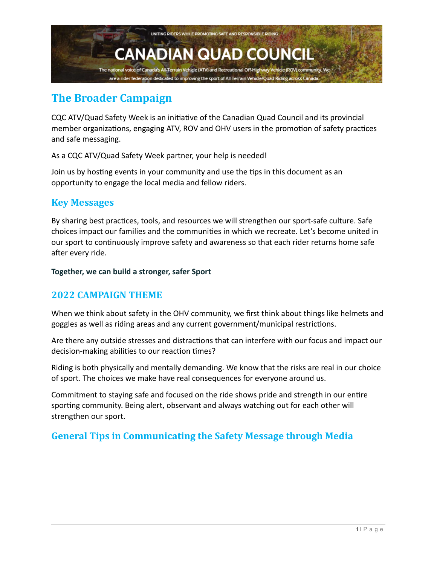

# **The Broader Campaign**

CQC ATV/Quad Safety Week is an initiative of the Canadian Quad Council and its provincial member organizations, engaging ATV, ROV and OHV users in the promotion of safety practices and safe messaging.

As a CQC ATV/Quad Safety Week partner, your help is needed!

Join us by hosting events in your community and use the tips in this document as an opportunity to engage the local media and fellow riders.

#### **Key Messages**

By sharing best practices, tools, and resources we will strengthen our sport-safe culture. Safe choices impact our families and the communities in which we recreate. Let's become united in our sport to continuously improve safety and awareness so that each rider returns home safe after every ride.

**Together, we can build a stronger, safer Sport**

#### **2022 CAMPAIGN THEME**

When we think about safety in the OHV community, we first think about things like helmets and goggles as well as riding areas and any current government/municipal restrictions.

Are there any outside stresses and distractions that can interfere with our focus and impact our decision-making abilities to our reaction times?

Riding is both physically and mentally demanding. We know that the risks are real in our choice of sport. The choices we make have real consequences for everyone around us.

Commitment to staying safe and focused on the ride shows pride and strength in our entire sporting community. Being alert, observant and always watching out for each other will strengthen our sport.

### **General Tips in Communicating the Safety Message through Media**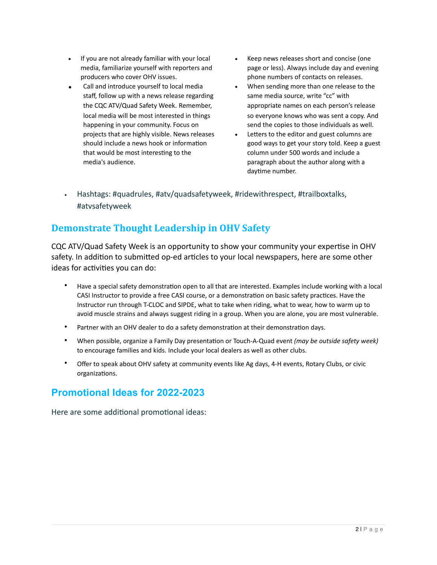- If you are not already familiar with your local media, familiarize yourself with reporters and producers who cover OHV issues.
- Call and introduce yourself to local media staff, follow up with a news release regarding the CQC ATV/Quad Safety Week. Remember, local media will be most interested in things happening in your community. Focus on projects that are highly visible. News releases should include a news hook or information that would be most interesting to the media's audience.
- Keep news releases short and concise (one page or less). Always include day and evening phone numbers of contacts on releases.
- When sending more than one release to the same media source, write "cc" with appropriate names on each person's release so everyone knows who was sent a copy. And send the copies to those individuals as well.
- Letters to the editor and guest columns are good ways to get your story told. Keep a guest column under 500 words and include a paragraph about the author along with a daytime number.
- Hashtags: #quadrules, #atv/quadsafetyweek, #ridewithrespect, #trailboxtalks, #atvsafetyweek

### **Demonstrate Thought Leadership in OHV Safety**

CQC ATV/Quad Safety Week is an opportunity to show your community your expertise in OHV safety. In addition to submitted op-ed articles to your local newspapers, here are some other ideas for activities you can do:

- Have a special safety demonstration open to all that are interested. Examples include working with a local CASI Instructor to provide a free CASI course, or a demonstration on basic safety practices. Have the Instructor run through T-CLOC and SIPDE, what to take when riding, what to wear, how to warm up to avoid muscle strains and always suggest riding in a group. When you are alone, you are most vulnerable.
- Partner with an OHV dealer to do a safety demonstration at their demonstration days.
- When possible, organize a Family Day presentation or Touch-A-Quad event *(may be outside safety week)* to encourage families and kids. Include your local dealers as well as other clubs.
- Offer to speak about OHV safety at community events like Ag days, 4-H events, Rotary Clubs, or civic organizations.

# **Promotional Ideas for 2022-2023**

Here are some additional promotional ideas: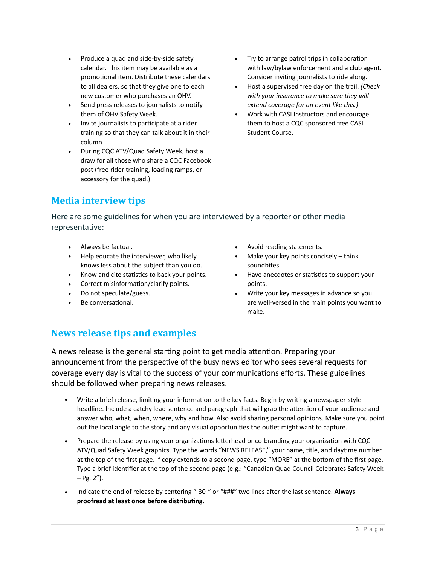- Produce a quad and side-by-side safety calendar. This item may be available as a promotional item. Distribute these calendars to all dealers, so that they give one to each new customer who purchases an OHV.
- Send press releases to journalists to notify them of OHV Safety Week.
- Invite journalists to participate at a rider training so that they can talk about it in their column.
- During CQC ATV/Quad Safety Week, host a draw for all those who share a CQC Facebook post (free rider training, loading ramps, or accessory for the quad.)
- Try to arrange patrol trips in collaboration with law/bylaw enforcement and a club agent. Consider inviting journalists to ride along.
- Host a supervised free day on the trail. *(Check with your insurance to make sure they will extend coverage for an event like this.)*
- Work with CASI Instructors and encourage them to host a CQC sponsored free CASI Student Course.

# **Media interview tips**

Here are some guidelines for when you are interviewed by a reporter or other media representative:

- Always be factual.
- Help educate the interviewer, who likely knows less about the subject than you do.
- Know and cite statistics to back your points.
- Correct misinformation/clarify points.
- Do not speculate/guess.
- Be conversational.
- Avoid reading statements.
- Make your key points concisely think soundbites.
- Have anecdotes or statistics to support your points.
- Write your key messages in advance so you are well-versed in the main points you want to make.

# **News release tips and examples**

A news release is the general starting point to get media attention. Preparing your announcement from the perspective of the busy news editor who sees several requests for coverage every day is vital to the success of your communications efforts. These guidelines should be followed when preparing news releases.

- Write a brief release, limiting your information to the key facts. Begin by writing a newspaper-style headline. Include a catchy lead sentence and paragraph that will grab the attention of your audience and answer who, what, when, where, why and how. Also avoid sharing personal opinions. Make sure you point out the local angle to the story and any visual opportunities the outlet might want to capture.
- Prepare the release by using your organizations letterhead or co-branding your organization with CQC ATV/Quad Safety Week graphics. Type the words "NEWS RELEASE," your name, title, and daytime number at the top of the first page. If copy extends to a second page, type "MORE" at the bottom of the first page. Type a brief identifier at the top of the second page (e.g.: "Canadian Quad Council Celebrates Safety Week  $-$  Pg. 2").
- Indicate the end of release by centering "-30-" or "###" two lines after the last sentence. **Always proofread at least once before distributing.**